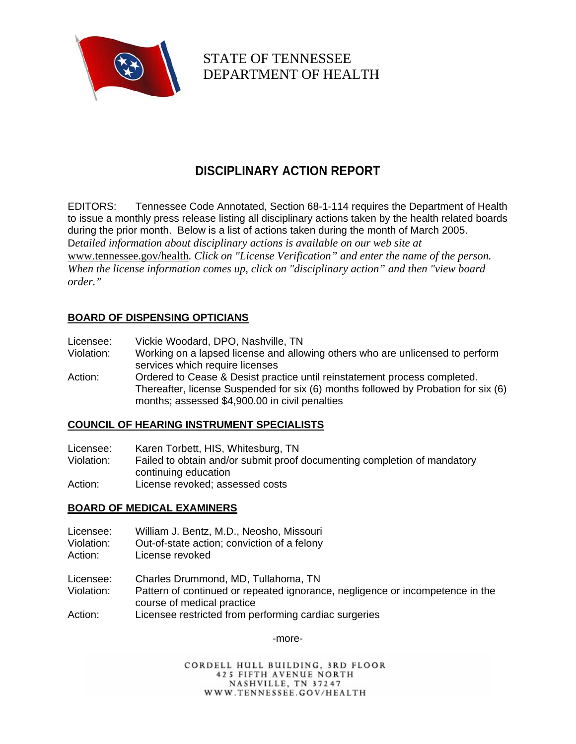

STATE OF TENNESSEE DEPARTMENT OF HEALTH

# **DISCIPLINARY ACTION REPORT**

EDITORS: Tennessee Code Annotated, Section 68-1-114 requires the Department of Health to issue a monthly press release listing all disciplinary actions taken by the health related boards during the prior month. Below is a list of actions taken during the month of March 2005. D*etailed information about disciplinary actions is available on our web site at*  www.tennessee.gov/health*. Click on "License Verification" and enter the name of the person. When the license information comes up, click on "disciplinary action" and then "view board order."* 

# **BOARD OF DISPENSING OPTICIANS**

| Licensee: | Vickie Woodard, DPO, Nashville, TN |  |  |  |
|-----------|------------------------------------|--|--|--|
|-----------|------------------------------------|--|--|--|

- Violation: Working on a lapsed license and allowing others who are unlicensed to perform services which require licenses
- Action: Ordered to Cease & Desist practice until reinstatement process completed. Thereafter, license Suspended for six (6) months followed by Probation for six (6) months; assessed \$4,900.00 in civil penalties

## **COUNCIL OF HEARING INSTRUMENT SPECIALISTS**

- Licensee: Karen Torbett, HIS, Whitesburg, TN
- Violation: Failed to obtain and/or submit proof documenting completion of mandatory continuing education
- Action: License revoked; assessed costs

## **BOARD OF MEDICAL EXAMINERS**

- Licensee: William J. Bentz, M.D., Neosho, Missouri
- Violation: Out-of-state action; conviction of a felony
- Action: License revoked

Licensee: Charles Drummond, MD, Tullahoma, TN

- Violation: Pattern of continued or repeated ignorance, negligence or incompetence in the course of medical practice
- Action: Licensee restricted from performing cardiac surgeries

-more-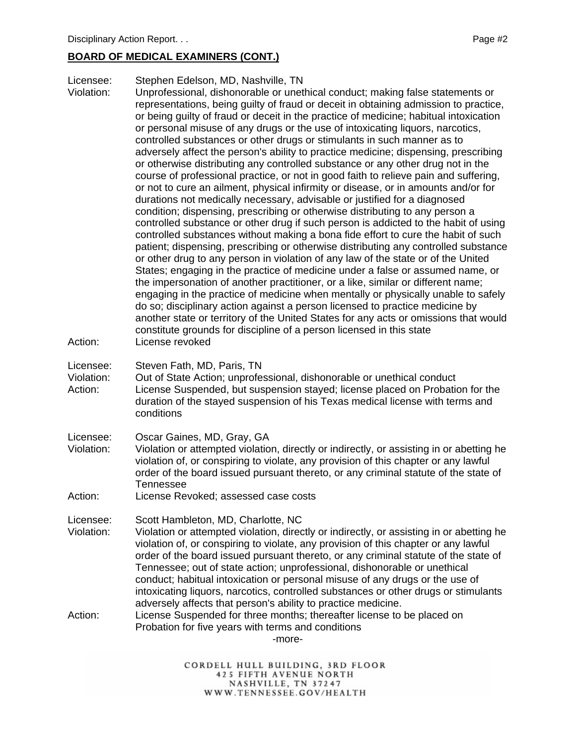## **BOARD OF MEDICAL EXAMINERS (CONT.)**

Licensee: Stephen Edelson, MD, Nashville, TN

Violation: Unprofessional, dishonorable or unethical conduct; making false statements or representations, being guilty of fraud or deceit in obtaining admission to practice, or being guilty of fraud or deceit in the practice of medicine; habitual intoxication or personal misuse of any drugs or the use of intoxicating liquors, narcotics, controlled substances or other drugs or stimulants in such manner as to adversely affect the person's ability to practice medicine; dispensing, prescribing or otherwise distributing any controlled substance or any other drug not in the course of professional practice, or not in good faith to relieve pain and suffering, or not to cure an ailment, physical infirmity or disease, or in amounts and/or for durations not medically necessary, advisable or justified for a diagnosed condition; dispensing, prescribing or otherwise distributing to any person a controlled substance or other drug if such person is addicted to the habit of using controlled substances without making a bona fide effort to cure the habit of such patient; dispensing, prescribing or otherwise distributing any controlled substance or other drug to any person in violation of any law of the state or of the United States; engaging in the practice of medicine under a false or assumed name, or the impersonation of another practitioner, or a like, similar or different name; engaging in the practice of medicine when mentally or physically unable to safely do so; disciplinary action against a person licensed to practice medicine by another state or territory of the United States for any acts or omissions that would constitute grounds for discipline of a person licensed in this state Action: License revoked

Licensee: Steven Fath, MD, Paris, TN

- Violation: Out of State Action; unprofessional, dishonorable or unethical conduct Action: License Suspended, but suspension stayed; license placed on Probation for the duration of the stayed suspension of his Texas medical license with terms and conditions
- Licensee: Oscar Gaines, MD, Gray, GA
- Violation: Violation or attempted violation, directly or indirectly, or assisting in or abetting he violation of, or conspiring to violate, any provision of this chapter or any lawful order of the board issued pursuant thereto, or any criminal statute of the state of Tennessee

Action: License Revoked; assessed case costs

Licensee: Scott Hambleton, MD, Charlotte, NC

Violation: Violation or attempted violation, directly or indirectly, or assisting in or abetting he violation of, or conspiring to violate, any provision of this chapter or any lawful order of the board issued pursuant thereto, or any criminal statute of the state of Tennessee; out of state action; unprofessional, dishonorable or unethical conduct; habitual intoxication or personal misuse of any drugs or the use of intoxicating liquors, narcotics, controlled substances or other drugs or stimulants adversely affects that person's ability to practice medicine.

Action: License Suspended for three months; thereafter license to be placed on Probation for five years with terms and conditions

-more-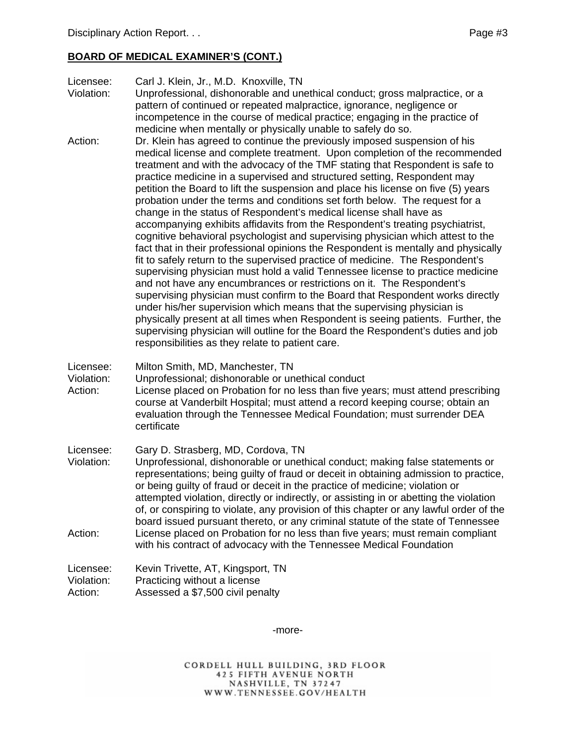## **BOARD OF MEDICAL EXAMINER'S (CONT.)**

Licensee: Carl J. Klein, Jr., M.D. Knoxville, TN

- Violation: Unprofessional, dishonorable and unethical conduct; gross malpractice, or a pattern of continued or repeated malpractice, ignorance, negligence or incompetence in the course of medical practice; engaging in the practice of medicine when mentally or physically unable to safely do so.
- Action: Dr. Klein has agreed to continue the previously imposed suspension of his medical license and complete treatment. Upon completion of the recommended treatment and with the advocacy of the TMF stating that Respondent is safe to practice medicine in a supervised and structured setting, Respondent may petition the Board to lift the suspension and place his license on five (5) years probation under the terms and conditions set forth below. The request for a change in the status of Respondent's medical license shall have as accompanying exhibits affidavits from the Respondent's treating psychiatrist, cognitive behavioral psychologist and supervising physician which attest to the fact that in their professional opinions the Respondent is mentally and physically fit to safely return to the supervised practice of medicine. The Respondent's supervising physician must hold a valid Tennessee license to practice medicine and not have any encumbrances or restrictions on it. The Respondent's supervising physician must confirm to the Board that Respondent works directly under his/her supervision which means that the supervising physician is physically present at all times when Respondent is seeing patients. Further, the supervising physician will outline for the Board the Respondent's duties and job responsibilities as they relate to patient care.
- Licensee: Milton Smith, MD, Manchester, TN

Violation: Unprofessional; dishonorable or unethical conduct

- Action: License placed on Probation for no less than five years; must attend prescribing course at Vanderbilt Hospital; must attend a record keeping course; obtain an evaluation through the Tennessee Medical Foundation; must surrender DEA certificate
- Licensee: Gary D. Strasberg, MD, Cordova, TN
- Violation: Unprofessional, dishonorable or unethical conduct; making false statements or representations; being guilty of fraud or deceit in obtaining admission to practice, or being guilty of fraud or deceit in the practice of medicine; violation or attempted violation, directly or indirectly, or assisting in or abetting the violation of, or conspiring to violate, any provision of this chapter or any lawful order of the board issued pursuant thereto, or any criminal statute of the state of Tennessee Action: License placed on Probation for no less than five years; must remain compliant with his contract of advocacy with the Tennessee Medical Foundation

| Licensee:  | Kevin Trivette, AT, Kingsport, TN |
|------------|-----------------------------------|
| Violation: | Practicing without a license      |
| Action:    | Assessed a \$7,500 civil penalty  |

-more-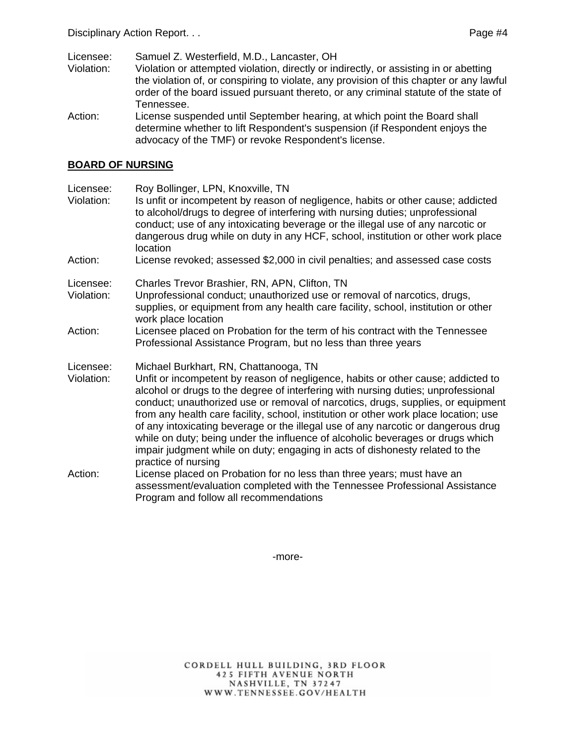Licensee: Samuel Z. Westerfield, M.D., Lancaster, OH

Violation: Violation or attempted violation, directly or indirectly, or assisting in or abetting the violation of, or conspiring to violate, any provision of this chapter or any lawful order of the board issued pursuant thereto, or any criminal statute of the state of Tennessee.

Action: License suspended until September hearing, at which point the Board shall determine whether to lift Respondent's suspension (if Respondent enjoys the advocacy of the TMF) or revoke Respondent's license.

#### **BOARD OF NURSING**

Licensee: Roy Bollinger, LPN, Knoxville, TN Violation: Is unfit or incompetent by reason of negligence, habits or other cause; addicted to alcohol/drugs to degree of interfering with nursing duties; unprofessional conduct; use of any intoxicating beverage or the illegal use of any narcotic or dangerous drug while on duty in any HCF, school, institution or other work place location Action: License revoked; assessed \$2,000 in civil penalties; and assessed case costs Licensee: Charles Trevor Brashier, RN, APN, Clifton, TN Violation: Unprofessional conduct; unauthorized use or removal of narcotics, drugs, supplies, or equipment from any health care facility, school, institution or other work place location Action: Licensee placed on Probation for the term of his contract with the Tennessee Professional Assistance Program, but no less than three years Licensee: Michael Burkhart, RN, Chattanooga, TN Violation: Unfit or incompetent by reason of negligence, habits or other cause; addicted to alcohol or drugs to the degree of interfering with nursing duties; unprofessional conduct; unauthorized use or removal of narcotics, drugs, supplies, or equipment from any health care facility, school, institution or other work place location; use of any intoxicating beverage or the illegal use of any narcotic or dangerous drug while on duty; being under the influence of alcoholic beverages or drugs which impair judgment while on duty; engaging in acts of dishonesty related to the practice of nursing Action: License placed on Probation for no less than three years; must have an assessment/evaluation completed with the Tennessee Professional Assistance Program and follow all recommendations

-more-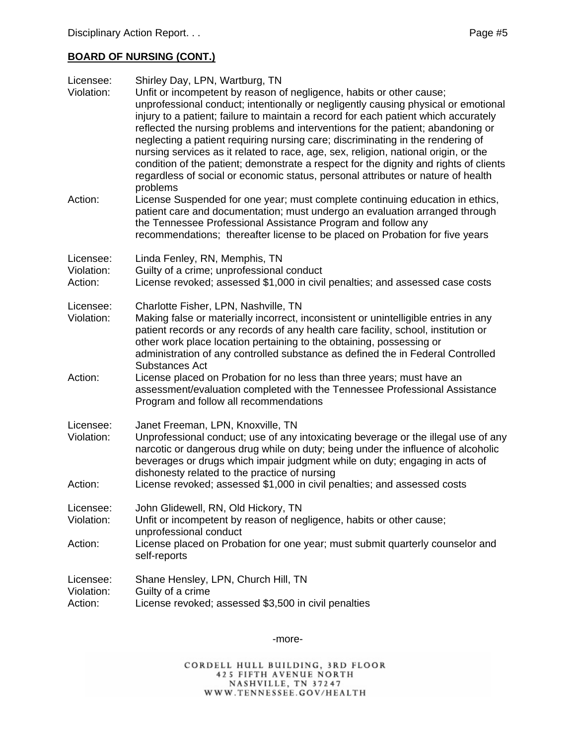| Licensee:<br>Violation:            | Shirley Day, LPN, Wartburg, TN<br>Unfit or incompetent by reason of negligence, habits or other cause;<br>unprofessional conduct; intentionally or negligently causing physical or emotional<br>injury to a patient; failure to maintain a record for each patient which accurately<br>reflected the nursing problems and interventions for the patient; abandoning or<br>neglecting a patient requiring nursing care; discriminating in the rendering of<br>nursing services as it related to race, age, sex, religion, national origin, or the<br>condition of the patient; demonstrate a respect for the dignity and rights of clients<br>regardless of social or economic status, personal attributes or nature of health |
|------------------------------------|-------------------------------------------------------------------------------------------------------------------------------------------------------------------------------------------------------------------------------------------------------------------------------------------------------------------------------------------------------------------------------------------------------------------------------------------------------------------------------------------------------------------------------------------------------------------------------------------------------------------------------------------------------------------------------------------------------------------------------|
| Action:                            | problems<br>License Suspended for one year; must complete continuing education in ethics,<br>patient care and documentation; must undergo an evaluation arranged through<br>the Tennessee Professional Assistance Program and follow any<br>recommendations; thereafter license to be placed on Probation for five years                                                                                                                                                                                                                                                                                                                                                                                                      |
| Licensee:<br>Violation:<br>Action: | Linda Fenley, RN, Memphis, TN<br>Guilty of a crime; unprofessional conduct<br>License revoked; assessed \$1,000 in civil penalties; and assessed case costs                                                                                                                                                                                                                                                                                                                                                                                                                                                                                                                                                                   |
| Licensee:<br>Violation:            | Charlotte Fisher, LPN, Nashville, TN<br>Making false or materially incorrect, inconsistent or unintelligible entries in any<br>patient records or any records of any health care facility, school, institution or<br>other work place location pertaining to the obtaining, possessing or<br>administration of any controlled substance as defined the in Federal Controlled<br><b>Substances Act</b>                                                                                                                                                                                                                                                                                                                         |
| Action:                            | License placed on Probation for no less than three years; must have an<br>assessment/evaluation completed with the Tennessee Professional Assistance<br>Program and follow all recommendations                                                                                                                                                                                                                                                                                                                                                                                                                                                                                                                                |
| Licensee:<br>Violation:            | Janet Freeman, LPN, Knoxville, TN<br>Unprofessional conduct; use of any intoxicating beverage or the illegal use of any<br>narcotic or dangerous drug while on duty; being under the influence of alcoholic<br>beverages or drugs which impair judgment while on duty; engaging in acts of<br>dishonesty related to the practice of nursing                                                                                                                                                                                                                                                                                                                                                                                   |
| Action:                            | License revoked; assessed \$1,000 in civil penalties; and assessed costs                                                                                                                                                                                                                                                                                                                                                                                                                                                                                                                                                                                                                                                      |
| Licensee:<br>Violation:            | John Glidewell, RN, Old Hickory, TN<br>Unfit or incompetent by reason of negligence, habits or other cause;<br>unprofessional conduct                                                                                                                                                                                                                                                                                                                                                                                                                                                                                                                                                                                         |
| Action:                            | License placed on Probation for one year; must submit quarterly counselor and<br>self-reports                                                                                                                                                                                                                                                                                                                                                                                                                                                                                                                                                                                                                                 |
| Licensee:<br>Violation:<br>Action: | Shane Hensley, LPN, Church Hill, TN<br>Guilty of a crime<br>License revoked; assessed \$3,500 in civil penalties                                                                                                                                                                                                                                                                                                                                                                                                                                                                                                                                                                                                              |

-more-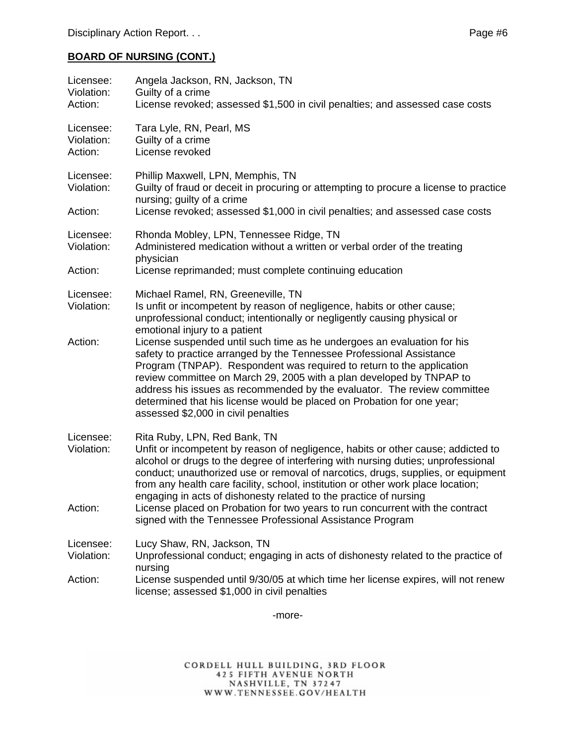| Licensee:<br>Violation:<br>Action: | Angela Jackson, RN, Jackson, TN<br>Guilty of a crime<br>License revoked; assessed \$1,500 in civil penalties; and assessed case costs                                                                                                                                                                                                                                                                                                              |
|------------------------------------|----------------------------------------------------------------------------------------------------------------------------------------------------------------------------------------------------------------------------------------------------------------------------------------------------------------------------------------------------------------------------------------------------------------------------------------------------|
| Licensee:<br>Violation:<br>Action: | Tara Lyle, RN, Pearl, MS<br>Guilty of a crime<br>License revoked                                                                                                                                                                                                                                                                                                                                                                                   |
| Licensee:<br>Violation:            | Phillip Maxwell, LPN, Memphis, TN<br>Guilty of fraud or deceit in procuring or attempting to procure a license to practice<br>nursing; guilty of a crime                                                                                                                                                                                                                                                                                           |
| Action:                            | License revoked; assessed \$1,000 in civil penalties; and assessed case costs                                                                                                                                                                                                                                                                                                                                                                      |
| Licensee:<br>Violation:            | Rhonda Mobley, LPN, Tennessee Ridge, TN<br>Administered medication without a written or verbal order of the treating<br>physician                                                                                                                                                                                                                                                                                                                  |
| Action:                            | License reprimanded; must complete continuing education                                                                                                                                                                                                                                                                                                                                                                                            |
| Licensee:<br>Violation:<br>Action: | Michael Ramel, RN, Greeneville, TN<br>Is unfit or incompetent by reason of negligence, habits or other cause;<br>unprofessional conduct; intentionally or negligently causing physical or<br>emotional injury to a patient<br>License suspended until such time as he undergoes an evaluation for his                                                                                                                                              |
|                                    | safety to practice arranged by the Tennessee Professional Assistance<br>Program (TNPAP). Respondent was required to return to the application<br>review committee on March 29, 2005 with a plan developed by TNPAP to<br>address his issues as recommended by the evaluator. The review committee<br>determined that his license would be placed on Probation for one year;<br>assessed \$2,000 in civil penalties                                 |
| Licensee:<br>Violation:            | Rita Ruby, LPN, Red Bank, TN<br>Unfit or incompetent by reason of negligence, habits or other cause; addicted to<br>alcohol or drugs to the degree of interfering with nursing duties; unprofessional<br>conduct; unauthorized use or removal of narcotics, drugs, supplies, or equipment<br>from any health care facility, school, institution or other work place location;<br>engaging in acts of dishonesty related to the practice of nursing |
| Action:                            | License placed on Probation for two years to run concurrent with the contract<br>signed with the Tennessee Professional Assistance Program                                                                                                                                                                                                                                                                                                         |
| Licensee:<br>Violation:            | Lucy Shaw, RN, Jackson, TN<br>Unprofessional conduct; engaging in acts of dishonesty related to the practice of                                                                                                                                                                                                                                                                                                                                    |
| Action:                            | nursing<br>License suspended until 9/30/05 at which time her license expires, will not renew<br>license; assessed \$1,000 in civil penalties                                                                                                                                                                                                                                                                                                       |

-more-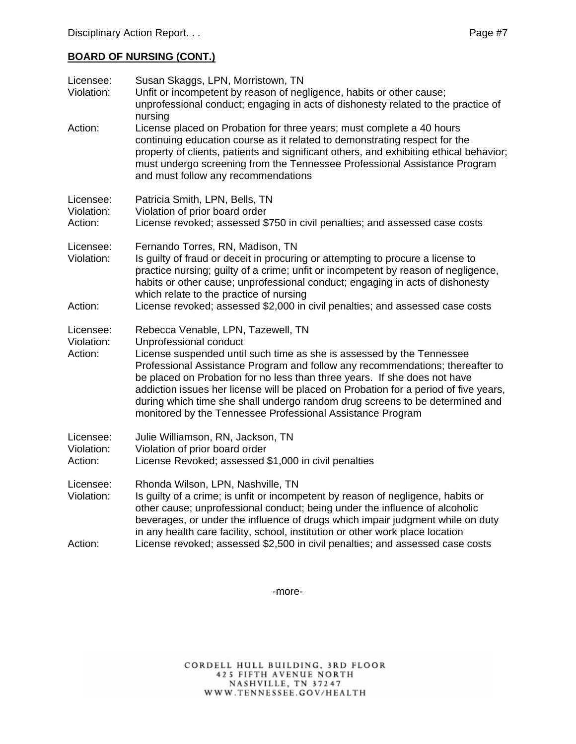| Licensee:<br>Violation:            | Susan Skaggs, LPN, Morristown, TN<br>Unfit or incompetent by reason of negligence, habits or other cause;<br>unprofessional conduct; engaging in acts of dishonesty related to the practice of<br>nursing                                                                                                                                                                                                                                                                                                                                 |
|------------------------------------|-------------------------------------------------------------------------------------------------------------------------------------------------------------------------------------------------------------------------------------------------------------------------------------------------------------------------------------------------------------------------------------------------------------------------------------------------------------------------------------------------------------------------------------------|
| Action:                            | License placed on Probation for three years; must complete a 40 hours<br>continuing education course as it related to demonstrating respect for the<br>property of clients, patients and significant others, and exhibiting ethical behavior;<br>must undergo screening from the Tennessee Professional Assistance Program<br>and must follow any recommendations                                                                                                                                                                         |
| Licensee:<br>Violation:<br>Action: | Patricia Smith, LPN, Bells, TN<br>Violation of prior board order<br>License revoked; assessed \$750 in civil penalties; and assessed case costs                                                                                                                                                                                                                                                                                                                                                                                           |
| Licensee:<br>Violation:<br>Action: | Fernando Torres, RN, Madison, TN<br>Is guilty of fraud or deceit in procuring or attempting to procure a license to<br>practice nursing; guilty of a crime; unfit or incompetent by reason of negligence,<br>habits or other cause; unprofessional conduct; engaging in acts of dishonesty<br>which relate to the practice of nursing<br>License revoked; assessed \$2,000 in civil penalties; and assessed case costs                                                                                                                    |
| Licensee:<br>Violation:<br>Action: | Rebecca Venable, LPN, Tazewell, TN<br>Unprofessional conduct<br>License suspended until such time as she is assessed by the Tennessee<br>Professional Assistance Program and follow any recommendations; thereafter to<br>be placed on Probation for no less than three years. If she does not have<br>addiction issues her license will be placed on Probation for a period of five years,<br>during which time she shall undergo random drug screens to be determined and<br>monitored by the Tennessee Professional Assistance Program |
| Licensee:<br>Violation:<br>Action: | Julie Williamson, RN, Jackson, TN<br>Violation of prior board order<br>License Revoked; assessed \$1,000 in civil penalties                                                                                                                                                                                                                                                                                                                                                                                                               |
| Licensee:<br>Violation:            | Rhonda Wilson, LPN, Nashville, TN<br>Is guilty of a crime; is unfit or incompetent by reason of negligence, habits or<br>other cause; unprofessional conduct; being under the influence of alcoholic<br>beverages, or under the influence of drugs which impair judgment while on duty<br>in any health care facility, school, institution or other work place location                                                                                                                                                                   |
| Action:                            | License revoked; assessed \$2,500 in civil penalties; and assessed case costs                                                                                                                                                                                                                                                                                                                                                                                                                                                             |

-more-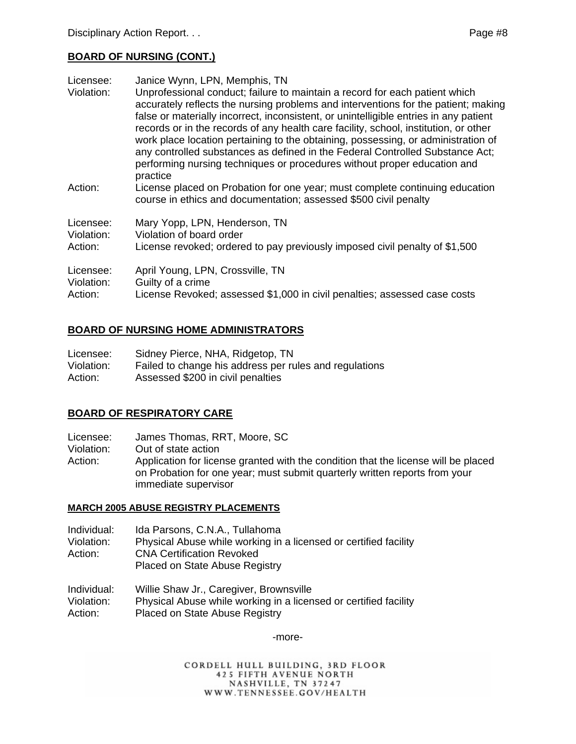| Licensee:<br>Violation: | Janice Wynn, LPN, Memphis, TN<br>Unprofessional conduct; failure to maintain a record for each patient which<br>accurately reflects the nursing problems and interventions for the patient; making<br>false or materially incorrect, inconsistent, or unintelligible entries in any patient<br>records or in the records of any health care facility, school, institution, or other<br>work place location pertaining to the obtaining, possessing, or administration of<br>any controlled substances as defined in the Federal Controlled Substance Act;<br>performing nursing techniques or procedures without proper education and<br>practice |
|-------------------------|---------------------------------------------------------------------------------------------------------------------------------------------------------------------------------------------------------------------------------------------------------------------------------------------------------------------------------------------------------------------------------------------------------------------------------------------------------------------------------------------------------------------------------------------------------------------------------------------------------------------------------------------------|
| Action:                 | License placed on Probation for one year; must complete continuing education<br>course in ethics and documentation; assessed \$500 civil penalty                                                                                                                                                                                                                                                                                                                                                                                                                                                                                                  |
| Licensee:               | Mary Yopp, LPN, Henderson, TN                                                                                                                                                                                                                                                                                                                                                                                                                                                                                                                                                                                                                     |
| Violation:              | Violation of board order                                                                                                                                                                                                                                                                                                                                                                                                                                                                                                                                                                                                                          |
| Action:                 | License revoked; ordered to pay previously imposed civil penalty of \$1,500                                                                                                                                                                                                                                                                                                                                                                                                                                                                                                                                                                       |
| Licensee:               | April Young, LPN, Crossville, TN                                                                                                                                                                                                                                                                                                                                                                                                                                                                                                                                                                                                                  |
| Violation:              | Guilty of a crime                                                                                                                                                                                                                                                                                                                                                                                                                                                                                                                                                                                                                                 |
| Action:                 | License Revoked; assessed \$1,000 in civil penalties; assessed case costs                                                                                                                                                                                                                                                                                                                                                                                                                                                                                                                                                                         |

## **BOARD OF NURSING HOME ADMINISTRATORS**

| Licensee:  | Sidney Pierce, NHA, Ridgetop, TN                       |
|------------|--------------------------------------------------------|
| Violation: | Failed to change his address per rules and regulations |
| Action:    | Assessed \$200 in civil penalties                      |

## **BOARD OF RESPIRATORY CARE**

Licensee: James Thomas, RRT, Moore, SC Violation: Out of state action Action: Application for license granted with the condition that the license will be placed on Probation for one year; must submit quarterly written reports from your immediate supervisor

#### **MARCH 2005 ABUSE REGISTRY PLACEMENTS**

Individual: Ida Parsons, C.N.A., Tullahoma

Violation: Physical Abuse while working in a licensed or certified facility Action: CNA Certification Revoked Placed on State Abuse Registry

Individual: Willie Shaw Jr., Caregiver, Brownsville Violation: Physical Abuse while working in a licensed or certified facility

Action: Placed on State Abuse Registry

-more-